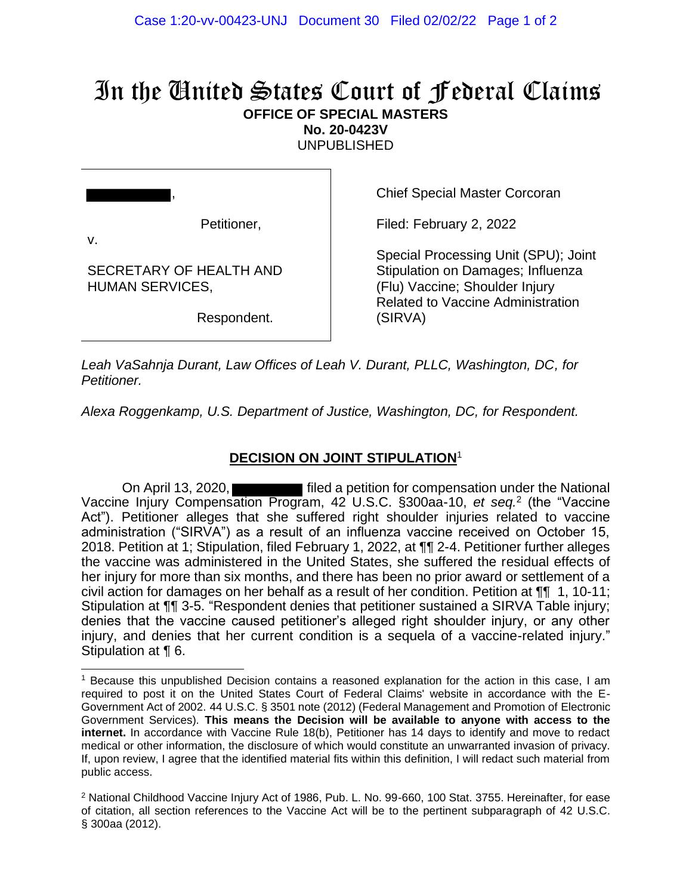## In the United States Court of Federal Claims **OFFICE OF SPECIAL MASTERS No. 20-0423V**

UNPUBLISHED

| Petitioner,<br>V.                                 |
|---------------------------------------------------|
| SECRETARY OF HEALTH AND<br><b>HUMAN SERVICES,</b> |
| Respondent.                                       |

Chief Special Master Corcoran

Filed: February 2, 2022

Special Processing Unit (SPU); Joint Stipulation on Damages; Influenza (Flu) Vaccine; Shoulder Injury Related to Vaccine Administration (SIRVA)

*Leah VaSahnja Durant, Law Offices of Leah V. Durant, PLLC, Washington, DC, for Petitioner.*

*Alexa Roggenkamp, U.S. Department of Justice, Washington, DC, for Respondent.*

## **DECISION ON JOINT STIPULATION**<sup>1</sup>

On April 13, 2020, **Figure 2018** filed a petition for compensation under the National Vaccine Injury Compensation Program, 42 U.S.C. §300aa-10, *et seq.* 2 (the "Vaccine Act"). Petitioner alleges that she suffered right shoulder injuries related to vaccine administration ("SIRVA") as a result of an influenza vaccine received on October 15, 2018. Petition at 1; Stipulation, filed February 1, 2022, at ¶¶ 2-4. Petitioner further alleges the vaccine was administered in the United States, she suffered the residual effects of her injury for more than six months, and there has been no prior award or settlement of a civil action for damages on her behalf as a result of her condition. Petition at ¶¶ 1, 10-11; Stipulation at ¶¶ 3-5. "Respondent denies that petitioner sustained a SIRVA Table injury; denies that the vaccine caused petitioner's alleged right shoulder injury, or any other injury, and denies that her current condition is a sequela of a vaccine-related injury." Stipulation at ¶ 6.

<sup>1</sup> Because this unpublished Decision contains a reasoned explanation for the action in this case, I am required to post it on the United States Court of Federal Claims' website in accordance with the E-Government Act of 2002. 44 U.S.C. § 3501 note (2012) (Federal Management and Promotion of Electronic Government Services). **This means the Decision will be available to anyone with access to the internet.** In accordance with Vaccine Rule 18(b), Petitioner has 14 days to identify and move to redact medical or other information, the disclosure of which would constitute an unwarranted invasion of privacy. If, upon review, I agree that the identified material fits within this definition, I will redact such material from public access.

<sup>&</sup>lt;sup>2</sup> National Childhood Vaccine Injury Act of 1986, Pub. L. No. 99-660, 100 Stat. 3755. Hereinafter, for ease of citation, all section references to the Vaccine Act will be to the pertinent subparagraph of 42 U.S.C. § 300aa (2012).